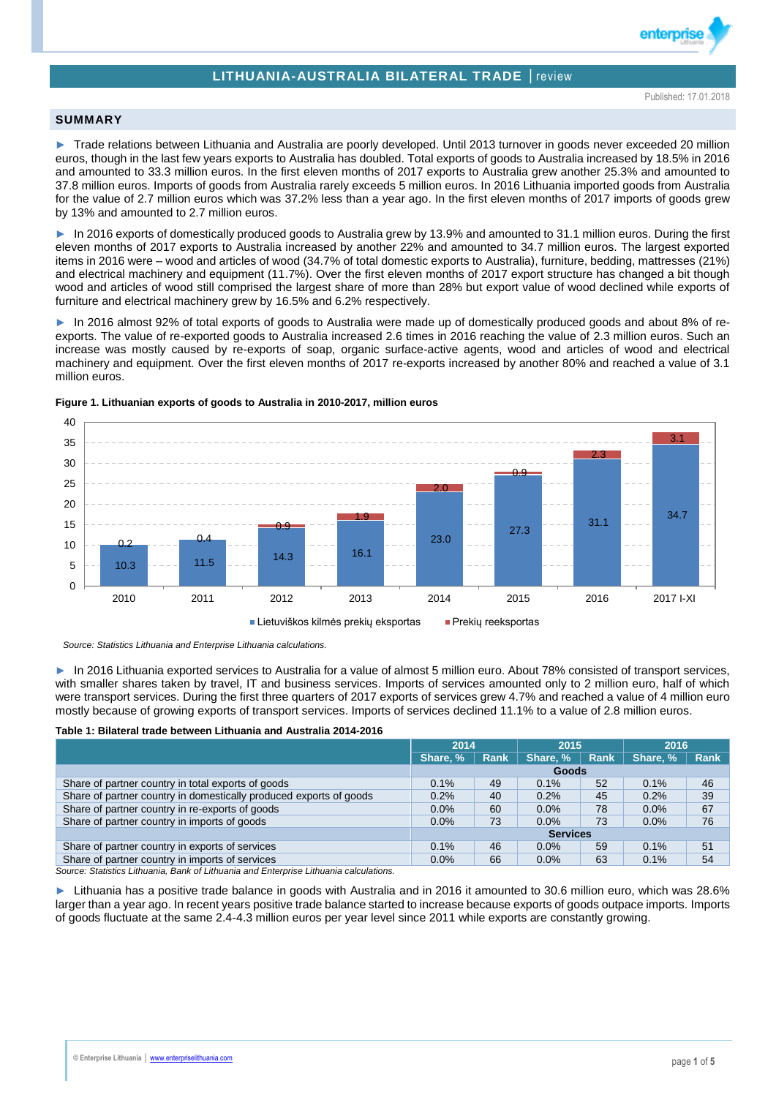# **LITHUANIA-AUSTRALIA BILATERAL TRADE** │review

enterpri

## **SUMMARY**

► Trade relations between Lithuania and Australia are poorly developed. Until 2013 turnover in goods never exceeded 20 million euros, though in the last few years exports to Australia has doubled. Total exports of goods to Australia increased by 18.5% in 2016 and amounted to 33.3 million euros. In the first eleven months of 2017 exports to Australia grew another 25.3% and amounted to 37.8 million euros. Imports of goods from Australia rarely exceeds 5 million euros. In 2016 Lithuania imported goods from Australia for the value of 2.7 million euros which was 37.2% less than a year ago. In the first eleven months of 2017 imports of goods grew by 13% and amounted to 2.7 million euros.

► In 2016 exports of domestically produced goods to Australia grew by 13.9% and amounted to 31.1 million euros. During the first eleven months of 2017 exports to Australia increased by another 22% and amounted to 34.7 million euros. The largest exported items in 2016 were – wood and articles of wood (34.7% of total domestic exports to Australia), furniture, bedding, mattresses (21%) and electrical machinery and equipment (11.7%). Over the first eleven months of 2017 export structure has changed a bit though wood and articles of wood still comprised the largest share of more than 28% but export value of wood declined while exports of furniture and electrical machinery grew by 16.5% and 6.2% respectively.

► In 2016 almost 92% of total exports of goods to Australia were made up of domestically produced goods and about 8% of reexports. The value of re-exported goods to Australia increased 2.6 times in 2016 reaching the value of 2.3 million euros. Such an increase was mostly caused by re-exports of soap, organic surface-active agents, wood and articles of wood and electrical machinery and equipment. Over the first eleven months of 2017 re-exports increased by another 80% and reached a value of 3.1 million euros.



#### **Figure 1. Lithuanian exports of goods to Australia in 2010-2017, million euros**

 *Source: Statistics Lithuania and Enterprise Lithuania calculations.*

► In 2016 Lithuania exported services to Australia for a value of almost 5 million euro. About 78% consisted of transport services, with smaller shares taken by travel, IT and business services. Imports of services amounted only to 2 million euro, half of which were transport services. During the first three quarters of 2017 exports of services grew 4.7% and reached a value of 4 million euro mostly because of growing exports of transport services. Imports of services declined 11.1% to a value of 2.8 million euros.

#### **Table 1: Bilateral trade between Lithuania and Australia 2014-2016**

|                                                                    | 2014            |      | 2015     |             | 2016     |      |  |  |
|--------------------------------------------------------------------|-----------------|------|----------|-------------|----------|------|--|--|
|                                                                    | Share, %        | Rank | Share, % | <b>Rank</b> | Share, % | Rank |  |  |
|                                                                    | Goods           |      |          |             |          |      |  |  |
| Share of partner country in total exports of goods                 | 0.1%            | 49   | 0.1%     | 52          | 0.1%     | 46   |  |  |
| Share of partner country in domestically produced exports of goods | 0.2%            | 40   | 0.2%     | 45          | 0.2%     | 39   |  |  |
| Share of partner country in re-exports of goods                    | 0.0%            | 60   | 0.0%     | 78          | 0.0%     | 67   |  |  |
| Share of partner country in imports of goods                       | 0.0%            | 73   | 0.0%     | 73          | 0.0%     | 76   |  |  |
|                                                                    | <b>Services</b> |      |          |             |          |      |  |  |
| Share of partner country in exports of services                    | 0.1%            | 46   | $0.0\%$  | 59          | 0.1%     | 51   |  |  |
| Share of partner country in imports of services                    | 0.0%            | 66   | $0.0\%$  | 63          | 0.1%     | 54   |  |  |

*Source: Statistics Lithuania, Bank of Lithuania and Enterprise Lithuania calculations.*

► Lithuania has a positive trade balance in goods with Australia and in 2016 it amounted to 30.6 million euro, which was 28.6% larger than a year ago. In recent years positive trade balance started to increase because exports of goods outpace imports. Imports of goods fluctuate at the same 2.4-4.3 million euros per year level since 2011 while exports are constantly growing.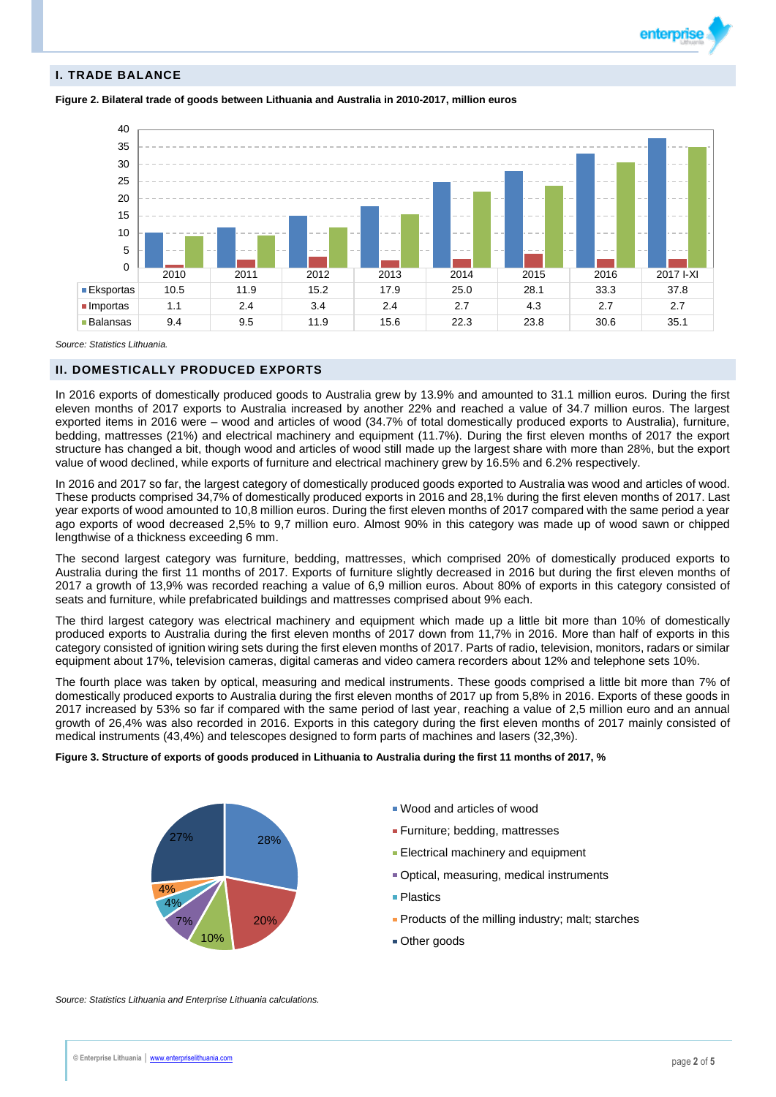## **I. TRADE BALANCE**

**Figure 2. Bilateral trade of goods between Lithuania and Australia in 2010-2017, million euros**



*Source: Statistics Lithuania.*

## **II. DOMESTICALLY PRODUCED EXPORTS**

In 2016 exports of domestically produced goods to Australia grew by 13.9% and amounted to 31.1 million euros. During the first eleven months of 2017 exports to Australia increased by another 22% and reached a value of 34.7 million euros. The largest exported items in 2016 were – wood and articles of wood (34.7% of total domestically produced exports to Australia), furniture, bedding, mattresses (21%) and electrical machinery and equipment (11.7%). During the first eleven months of 2017 the export structure has changed a bit, though wood and articles of wood still made up the largest share with more than 28%, but the export value of wood declined, while exports of furniture and electrical machinery grew by 16.5% and 6.2% respectively.

In 2016 and 2017 so far, the largest category of domestically produced goods exported to Australia was wood and articles of wood. These products comprised 34,7% of domestically produced exports in 2016 and 28,1% during the first eleven months of 2017. Last year exports of wood amounted to 10,8 million euros. During the first eleven months of 2017 compared with the same period a year ago exports of wood decreased 2,5% to 9,7 million euro. Almost 90% in this category was made up of wood sawn or chipped lengthwise of a thickness exceeding 6 mm.

The second largest category was furniture, bedding, mattresses, which comprised 20% of domestically produced exports to Australia during the first 11 months of 2017. Exports of furniture slightly decreased in 2016 but during the first eleven months of 2017 a growth of 13,9% was recorded reaching a value of 6,9 million euros. About 80% of exports in this category consisted of seats and furniture, while prefabricated buildings and mattresses comprised about 9% each.

The third largest category was electrical machinery and equipment which made up a little bit more than 10% of domestically produced exports to Australia during the first eleven months of 2017 down from 11,7% in 2016. More than half of exports in this category consisted of ignition wiring sets during the first eleven months of 2017. Parts of radio, television, monitors, radars or similar equipment about 17%, television cameras, digital cameras and video camera recorders about 12% and telephone sets 10%.

The fourth place was taken by optical, measuring and medical instruments. These goods comprised a little bit more than 7% of domestically produced exports to Australia during the first eleven months of 2017 up from 5,8% in 2016. Exports of these goods in 2017 increased by 53% so far if compared with the same period of last year, reaching a value of 2,5 million euro and an annual growth of 26,4% was also recorded in 2016. Exports in this category during the first eleven months of 2017 mainly consisted of medical instruments (43,4%) and telescopes designed to form parts of machines and lasers (32,3%).

## **Figure 3. Structure of exports of goods produced in Lithuania to Australia during the first 11 months of 2017, %**



- Wood and articles of wood
- **Furniture**; bedding, mattresses
- **Electrical machinery and equipment**
- Optical, measuring, medical instruments
- **Plastics**
- **Products of the milling industry; malt; starches**
- Other goods

*Source: Statistics Lithuania and Enterprise Lithuania calculations.*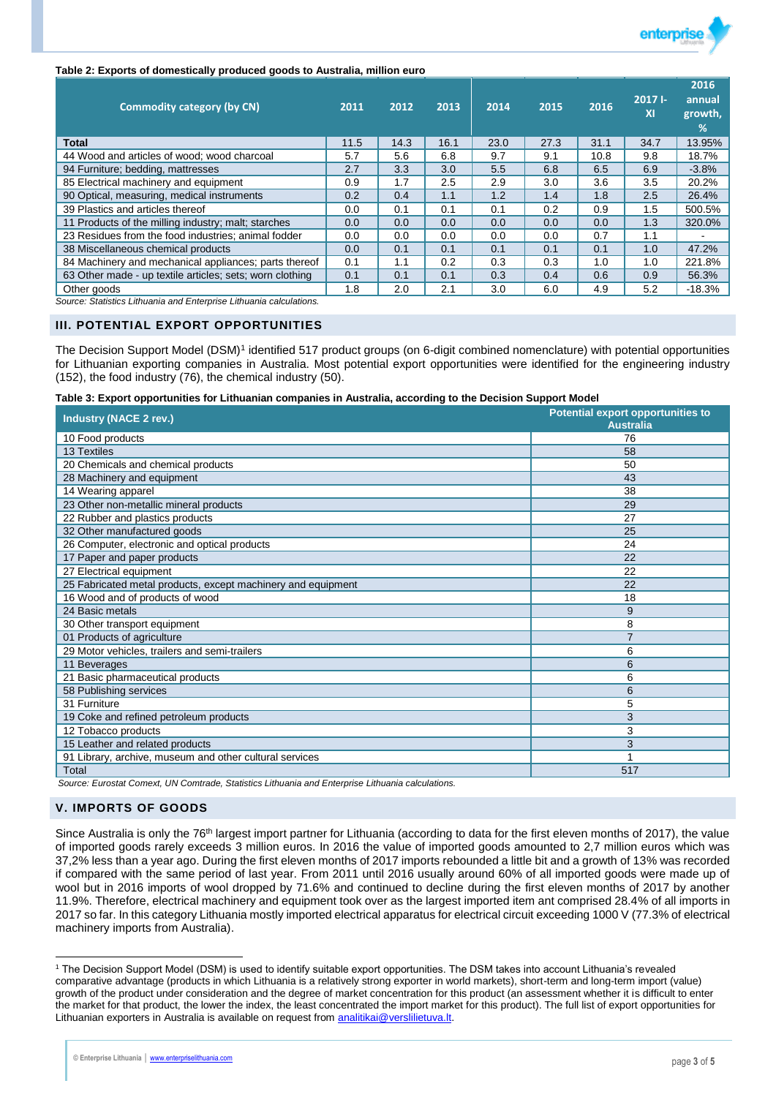

### **Table 2: Exports of domestically produced goods to Australia, million euro**

| <b>Commodity category (by CN)</b>                                  | 2011 | 2012 | 2013 | 2014 | 2015 | 2016 | $2017 -$<br>XI | 2016<br>annual<br>growth,<br>% |
|--------------------------------------------------------------------|------|------|------|------|------|------|----------------|--------------------------------|
| <b>Total</b>                                                       | 11.5 | 14.3 | 16.1 | 23.0 | 27.3 | 31.1 | 34.7           | 13.95%                         |
| 44 Wood and articles of wood; wood charcoal                        | 5.7  | 5.6  | 6.8  | 9.7  | 9.1  | 10.8 | 9.8            | 18.7%                          |
| 94 Furniture; bedding, mattresses                                  | 2.7  | 3.3  | 3.0  | 5.5  | 6.8  | 6.5  | 6.9            | $-3.8%$                        |
| 85 Electrical machinery and equipment                              | 0.9  | 1.7  | 2.5  | 2.9  | 3.0  | 3.6  | 3.5            | 20.2%                          |
| 90 Optical, measuring, medical instruments                         | 0.2  | 0.4  | 1.1  | 1.2  | 1.4  | 1.8  | 2.5            | 26.4%                          |
| 39 Plastics and articles thereof                                   | 0.0  | 0.1  | 0.1  | 0.1  | 0.2  | 0.9  | 1.5            | 500.5%                         |
| 11 Products of the milling industry; malt; starches                | 0.0  | 0.0  | 0.0  | 0.0  | 0.0  | 0.0  | 1.3            | 320.0%                         |
| 23 Residues from the food industries; animal fodder                | 0.0  | 0.0  | 0.0  | 0.0  | 0.0  | 0.7  | 1.1            |                                |
| 38 Miscellaneous chemical products                                 | 0.0  | 0.1  | 0.1  | 0.1  | 0.1  | 0.1  | 1.0            | 47.2%                          |
| 84 Machinery and mechanical appliances; parts thereof              | 0.1  | 1.1  | 0.2  | 0.3  | 0.3  | 1.0  | 1.0            | 221.8%                         |
| 63 Other made - up textile articles; sets; worn clothing           | 0.1  | 0.1  | 0.1  | 0.3  | 0.4  | 0.6  | 0.9            | 56.3%                          |
| Other goods                                                        | 1.8  | 2.0  | 2.1  | 3.0  | 6.0  | 4.9  | 5.2            | $-18.3%$                       |
| Course: Ctatistics Lithuania and Enterprise Lithuania seleulations |      |      |      |      |      |      |                |                                |

*Source: Statistics Lithuania and Enterprise Lithuania calculations.*

## **III. POTENTIAL EXPORT OPPORTUNITIES**

The Decision Support Model (DSM)<sup>1</sup> identified 517 product groups (on 6-digit combined nomenclature) with potential opportunities for Lithuanian exporting companies in Australia. Most potential export opportunities were identified for the engineering industry (152), the food industry (76), the chemical industry (50).

**Table 3: Export opportunities for Lithuanian companies in Australia, according to the Decision Support Model**

| <b>Industry (NACE 2 rev.)</b>                                | <b>Potential export opportunities to</b><br><b>Australia</b> |
|--------------------------------------------------------------|--------------------------------------------------------------|
| 10 Food products                                             | 76                                                           |
| <b>13 Textiles</b>                                           | 58                                                           |
| 20 Chemicals and chemical products                           | 50                                                           |
| 28 Machinery and equipment                                   | 43                                                           |
| 14 Wearing apparel                                           | 38                                                           |
| 23 Other non-metallic mineral products                       | 29                                                           |
| 22 Rubber and plastics products                              | 27                                                           |
| 32 Other manufactured goods                                  | 25                                                           |
| 26 Computer, electronic and optical products                 | 24                                                           |
| 17 Paper and paper products                                  | 22                                                           |
| 27 Electrical equipment                                      | 22                                                           |
| 25 Fabricated metal products, except machinery and equipment | 22                                                           |
| 16 Wood and of products of wood                              | 18                                                           |
| 24 Basic metals                                              | 9                                                            |
| 30 Other transport equipment                                 | 8                                                            |
| 01 Products of agriculture                                   |                                                              |
| 29 Motor vehicles, trailers and semi-trailers                | 6                                                            |
| 11 Beverages                                                 | 6                                                            |
| 21 Basic pharmaceutical products                             | 6                                                            |
| 58 Publishing services                                       | 6                                                            |
| 31 Furniture                                                 | 5                                                            |
| 19 Coke and refined petroleum products                       | 3                                                            |
| 12 Tobacco products                                          | 3                                                            |
| 15 Leather and related products                              | 3                                                            |
| 91 Library, archive, museum and other cultural services      |                                                              |
| Total                                                        | 517                                                          |

*Source: Eurostat Comext, UN Comtrade, Statistics Lithuania and Enterprise Lithuania calculations.*

## **V. IMPORTS OF GOODS**

 $\overline{a}$ 

Since Australia is only the 76<sup>th</sup> largest import partner for Lithuania (according to data for the first eleven months of 2017), the value of imported goods rarely exceeds 3 million euros. In 2016 the value of imported goods amounted to 2,7 million euros which was 37,2% less than a year ago. During the first eleven months of 2017 imports rebounded a little bit and a growth of 13% was recorded if compared with the same period of last year. From 2011 until 2016 usually around 60% of all imported goods were made up of wool but in 2016 imports of wool dropped by 71.6% and continued to decline during the first eleven months of 2017 by another 11.9%. Therefore, electrical machinery and equipment took over as the largest imported item ant comprised 28.4% of all imports in 2017 so far. In this category Lithuania mostly imported electrical apparatus for electrical circuit exceeding 1000 V (77.3% of electrical machinery imports from Australia).

<sup>1</sup> The Decision Support Model (DSM) is used to identify suitable export opportunities. The DSM takes into account Lithuania's revealed comparative advantage (products in which Lithuania is a relatively strong exporter in world markets), short-term and long-term import (value) growth of the product under consideration and the degree of market concentration for this product (an assessment whether it is difficult to enter the market for that product, the lower the index, the least concentrated the import market for this product). The full list of export opportunities for Lithuanian exporters in Australia is available on request from [analitikai@verslilietuva.lt.](mailto:analitikai@verslilietuva.lt)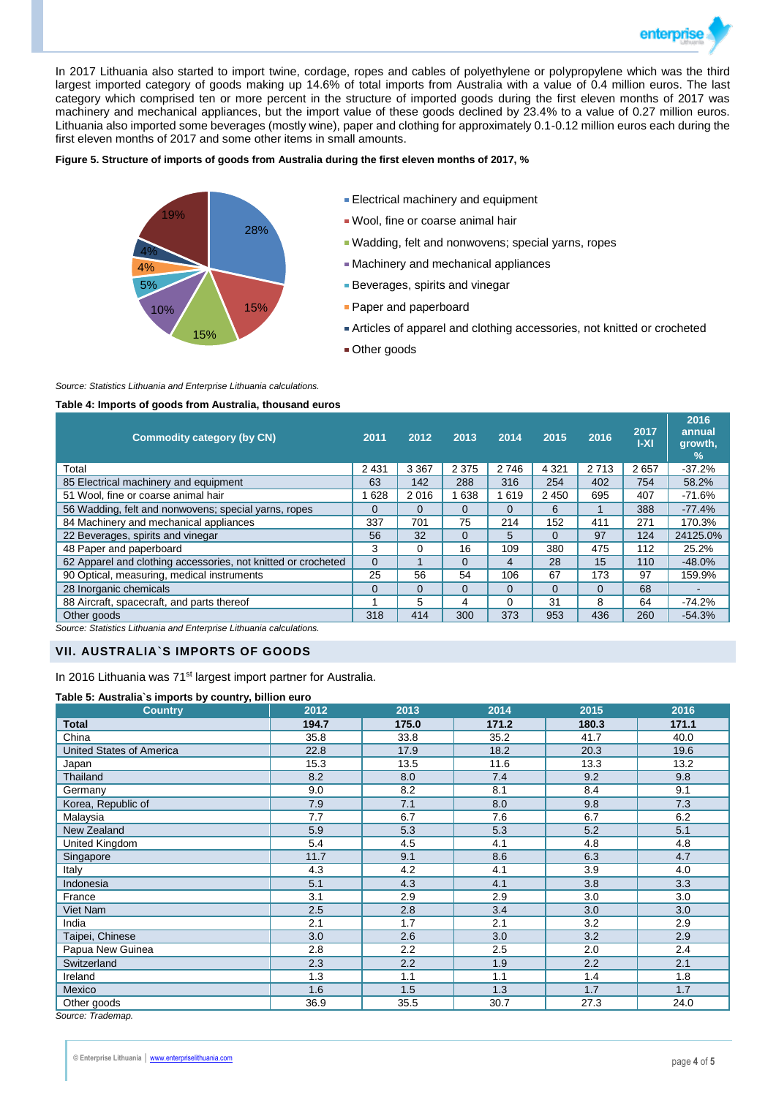

In 2017 Lithuania also started to import twine, cordage, ropes and cables of polyethylene or polypropylene which was the third largest imported category of goods making up 14.6% of total imports from Australia with a value of 0.4 million euros. The last category which comprised ten or more percent in the structure of imported goods during the first eleven months of 2017 was machinery and mechanical appliances, but the import value of these goods declined by 23.4% to a value of 0.27 million euros. Lithuania also imported some beverages (mostly wine), paper and clothing for approximately 0.1-0.12 million euros each during the first eleven months of 2017 and some other items in small amounts.

### **Figure 5. Structure of imports of goods from Australia during the first eleven months of 2017, %**



- **Electrical machinery and equipment**
- Wool, fine or coarse animal hair
- Wadding, felt and nonwovens; special yarns, ropes
- Machinery and mechanical appliances
- **Beverages, spirits and vinegar**
- **Paper and paperboard**
- Articles of apparel and clothing accessories, not knitted or crocheted
- **Other goods**

#### *Source: Statistics Lithuania and Enterprise Lithuania calculations.*

#### **Table 4: Imports of goods from Australia, thousand euros**

| <b>Commodity category (by CN)</b>                             | 2011     | 2012     | 2013     | 2014     | 2015     | 2016     | 2017<br>$ -X $ | 2016<br>annual<br>growth,<br>$\frac{9}{6}$ |
|---------------------------------------------------------------|----------|----------|----------|----------|----------|----------|----------------|--------------------------------------------|
| Total                                                         | 2 4 3 1  | 3 3 6 7  | 2 3 7 5  | 2746     | 4 3 2 1  | 2 7 1 3  | 2657           | $-37.2%$                                   |
| 85 Electrical machinery and equipment                         | 63       | 142      | 288      | 316      | 254      | 402      | 754            | 58.2%                                      |
| 51 Wool, fine or coarse animal hair                           | 628      | 2016     | 638      | 619      | 2 4 5 0  | 695      | 407            | $-71.6%$                                   |
| 56 Wadding, felt and nonwovens; special yarns, ropes          | 0        | $\Omega$ | $\Omega$ | $\Omega$ | 6        |          | 388            | $-77.4%$                                   |
| 84 Machinery and mechanical appliances                        | 337      | 701      | 75       | 214      | 152      | 411      | 271            | 170.3%                                     |
| 22 Beverages, spirits and vinegar                             | 56       | 32       | $\Omega$ | 5        | 0        | 97       | 124            | 24125.0%                                   |
| 48 Paper and paperboard                                       | 3        | 0        | 16       | 109      | 380      | 475      | 112            | 25.2%                                      |
| 62 Apparel and clothing accessories, not knitted or crocheted | $\Omega$ |          | $\Omega$ | 4        | 28       | 15       | 110            | $-48.0%$                                   |
| 90 Optical, measuring, medical instruments                    | 25       | 56       | 54       | 106      | 67       | 173      | 97             | 159.9%                                     |
| 28 Inorganic chemicals                                        | $\Omega$ | $\Omega$ | $\Omega$ | $\Omega$ | $\Omega$ | $\Omega$ | 68             |                                            |
| 88 Aircraft, spacecraft, and parts thereof                    |          | 5        | 4        | 0        | 31       | 8        | 64             | $-74.2%$                                   |
| Other goods                                                   | 318      | 414      | 300      | 373      | 953      | 436      | 260            | $-54.3%$                                   |

*Source: Statistics Lithuania and Enterprise Lithuania calculations.*

## **VII. AUSTRALIA`S IMPORTS OF GOODS**

In 2016 Lithuania was 71<sup>st</sup> largest import partner for Australia.

#### **Table 5: Australia`s imports by country, billion euro**

| <b>Country</b>                  | 2012  | 2013  | 2014  | 2015  | 2016  |
|---------------------------------|-------|-------|-------|-------|-------|
| <b>Total</b>                    | 194.7 | 175.0 | 171.2 | 180.3 | 171.1 |
| China                           | 35.8  | 33.8  | 35.2  | 41.7  | 40.0  |
| <b>United States of America</b> | 22.8  | 17.9  | 18.2  | 20.3  | 19.6  |
| Japan                           | 15.3  | 13.5  | 11.6  | 13.3  | 13.2  |
| Thailand                        | 8.2   | 8.0   | 7.4   | 9.2   | 9.8   |
| Germany                         | 9.0   | 8.2   | 8.1   | 8.4   | 9.1   |
| Korea, Republic of              | 7.9   | 7.1   | 8.0   | 9.8   | 7.3   |
| Malaysia                        | 7.7   | 6.7   | 7.6   | 6.7   | 6.2   |
| New Zealand                     | 5.9   | 5.3   | 5.3   | 5.2   | 5.1   |
| United Kingdom                  | 5.4   | 4.5   | 4.1   | 4.8   | 4.8   |
| Singapore                       | 11.7  | 9.1   | 8.6   | 6.3   | 4.7   |
| Italy                           | 4.3   | 4.2   | 4.1   | 3.9   | 4.0   |
| Indonesia                       | 5.1   | 4.3   | 4.1   | 3.8   | 3.3   |
| France                          | 3.1   | 2.9   | 2.9   | 3.0   | 3.0   |
| Viet Nam                        | 2.5   | 2.8   | 3.4   | 3.0   | 3.0   |
| India                           | 2.1   | 1.7   | 2.1   | 3.2   | 2.9   |
| Taipei, Chinese                 | 3.0   | 2.6   | 3.0   | 3.2   | 2.9   |
| Papua New Guinea                | 2.8   | 2.2   | 2.5   | 2.0   | 2.4   |
| Switzerland                     | 2.3   | 2.2   | 1.9   | 2.2   | 2.1   |
| Ireland                         | 1.3   | 1.1   | 1.1   | 1.4   | 1.8   |
| Mexico                          | 1.6   | 1.5   | 1.3   | 1.7   | 1.7   |
| Other goods                     | 36.9  | 35.5  | 30.7  | 27.3  | 24.0  |

*Source: Trademap.*